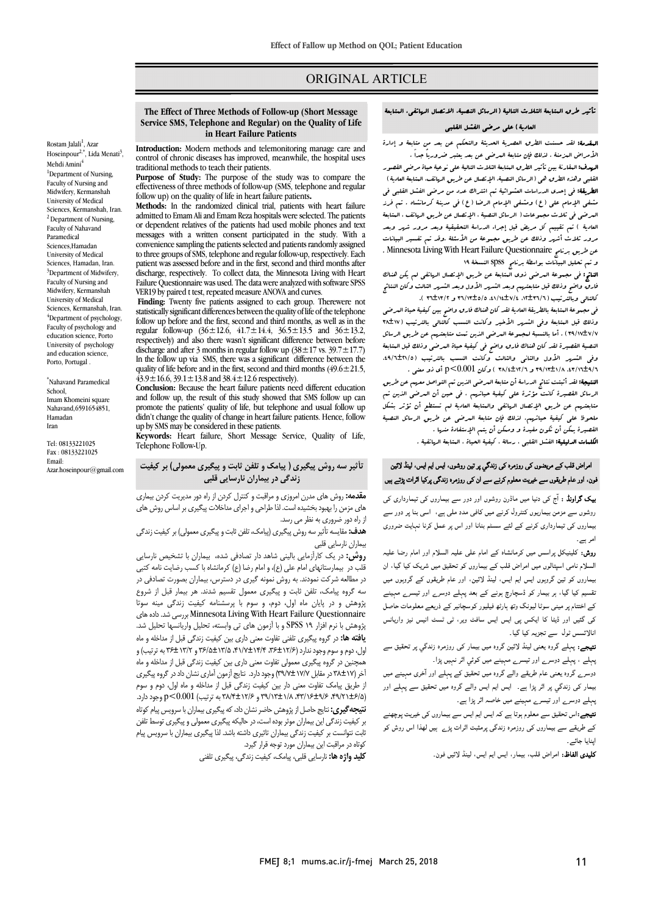## ORIGINAL ARTICLE

#### **The Effect of Three Methods of Follow-up (Short Message in Heart Failure Patients Service SMS, Telephone and Regular) on the Quality of Life**

Ī 

 **Introduction:** Modern methods and telemonitoring manage care and control of chronic diseases has improved, meanwhile, the hospital uses traditional methods to teach their patients.

**Purpose of Study:** The purpose of the study was to compare the follow up) on the quality of life in heart failure patients**.** effectiveness of three methods of follow-up (SMS, telephone and regular

methods: in the randomized clinical that, patients with heart lailure<br>admitted to Emam Ali and Emam Reza hospitals were selected. The patients or dependent relatives of the patients had used mobile phones and text convenience sampling the patients selected and patients randomly assigned to three groups of SMS, telephone and regular follow-up, respectively. Each<br>patient was assessed before and in the first, second and third months after discharge, respectively. To collect data, the Minnesota Living with Heart VER19 by paired t test, repeated measure ANOVA and curves. **Methods:** In the randomized clinical trial, patients with heart failure messages with a written consent participated in the study. With a to three groups of SMS, telephone and regular follow-up, respectively. Each Failure Questionnaire was used. The data were analyzed with software SPSS

**Finding:** I wenty tive patients assigned to each group. I herewere not statistically significant differences between the quality of life of the telephone follow up before and the first, second and third months, as well as in the respectively) and also there wasn't significant difference between before discharge and after 3 months in regular follow up  $(38\pm17 \text{ vs. } 39.7\pm17.7)$ <br>In the follow up via SMS, there was a similizant, difference between the quality of life before and in the first, second and third months  $(49.6 \pm 21.5,$ **Finding:** Twenty five patients assigned to each group. Therewere not regular follow-up  $(36 \pm 12.6, 41.7 \pm 14.4, 36.5 \pm 13.5)$  and  $36 \pm 13.2$ , In the follow up via SMS, there was a significant difference between the  $43.9 \pm 16.6$ ,  $39.1 \pm 13.8$  and  $38.4 \pm 12.6$  respectively).

 **Conclusion:** Because the heart failure patients need different education and follow up, the result of this study showed that SMS follow up can didn't change the quality of change in heart failure patients. Hence, follow promote the patients' quality of life, but telephone and usual follow up up by SMS may be considered in these patients.

 **Keywords:** Heart failure, Short Message Service, Quality of Life, Telephone Follow-Up.

# **تأثیر سه روش پیگیري ( پیامک و تلفن ثابت و پیگیري معمولی) بر کیفیت زندگی در بیماران نارسایی قلبی**

ن اور دور سے بیماروں کی تیمارداری کی مع**قدمه:** روش های مدرن امروزی و مراقبت و کنترل کردن از راه دور مدیریت کردن بیماری هاي مزمن را بهبود بخشیده است. لذا طراحی و اجراي مداخلات پیگیري براساس روش هاي از راه دور ضروری به نظر می رسد.

ر *ر در در دردن . . . . . . .*<br>**هدف:** مقایسه تأثیر سه روش پیگیری (پیامک، تلفن ثابت و پیگیری معمولی) بر کیفیت زندگی بیماران نارسایی قلبی

 **روش:** در یک کارآزمایی بالینی شاهد دار تصادفی شده، بیماران با تشخیص نارسایی سب در بیمارسانهای اسام علی (ح)، و اسام رضا (ح) خرساسات با حسب رضایت نامه نتینی<br>در مطالعه شرکت نمودند. به روش نمونه گیری در دسترس، بیماران بصورت تصادفی در سه گروه پیامک، تلفن ثابت و پیگیري معمول تقسیم شدند. هر بیمار قبل از شروع پژوهش و در پایان ماه اول، دوم، و سوم با پرسشنامه کیفیت زندگی مینه سوتا پژوهش با نرم افزار 19 SPSS و با آزمون هاي تی وابسته، تحلیل واریانسها تحلیل شد. **یافته ها:** در گروه پیگیري تلفنی تفاوت معنی داري بین کیفیت زندگی قبل از مداخله و ماه ول، دوم و سوم وجود ندارد (۱۲/<del>۶ : ۱۳/8 ، ۱۳/۴ ، ۱۳/۵±۱۲</del>/۵ و ۳۶±۲۲ و ۳۶ ترتیب) و<br>محمد مقاطعه استفاده آخر(38±17 در مقابل 39/7±17/7) وجوددارد. نتایج آزمون آمارينشان داددرگروه پیگیري از طریق پیامک تفاوت معنی دار بین کیفیت زندگی قبل از مداخله و ماه اول، دوم و سوم (،49/21±6/5 ،43/16±9/6 39/13±1/8 و 38/4±12/6 به ترتیب) 0.001>p وجود دارد. میپیت می**ری.** میتی ممس، <sub>ر</sub>پروسس ممسر سه مسلم تصویری پیمرس به سرویس پیم مومه<br>بر کیفیت زندگی این بیماران موثر بوده است، در حالیکه پیگیری معمولی و پیگیری توسط تلفن ثابت نتوانست بر کیفیت زندگی بیماران تاثیري داشتهباشد. لذا پیگیري بیماران با سرویس پیام کوتاه در مراقبت این بیماران مورد توجه قرار گیرد. قلب در بیمارستانهاي امام علی (ع)، و امام رضا (ع) کرمانشاه با کسب رضایت نامه کتبی دادههاي .شد بررسی Minnesota Living With Heart Failure Questionnaire همچنین در گروه پیگیري معمولی تفاوت معنی داري بین کیفیت زندگی قبل از مداخله و ماه ن**تیجه گیری:** نتایج حاصل از پژوهش حاضر نشان داد، که پیگیری بیماران با سرویس پیام کوتاه

**کلید واژه ها:** نارسایی قلبی، پیامک، کیفیت زندگی، پیگیري تلفنی

# تأثیر طرق المتابعۀ الثلاث التالیۀ (الرسائل النصیۀ، الاتصال الهاتفی، المتابعۀ

Ī 

#### العادیۀ) على مرضى الفشل القلبی

البعدمه: للد حسبت الطرق اللصرية اللامية والبحلم عن بعد من منابعة<br>الأمراض البزمنۀ . لذلك فإن متابعۀ البرضى عن بعد يعتبر ضروریاً جداً . المقدمۀ: لقد حسنت الطرق العصریۀ الحدیثۀ والتحکم عن بعد من متابعۀ و إدارة

 الهدف: المقارنۀ بین تأثیر الطرق المتابعۀ الثلاث التالیۀ على نوعیۀ حیاة مرضى القصور القلبی وهذه الطرق هی (الرسائل النصیۀ، الإتصال عن طریق الهاتف، المتابعۀ العادیۀ) الطریقۀ: فی إحدى الدراسات العشوائیۀ تم اشتراك عدد من مرضى الفشل القلبی فی<br>شدت الله من مدت الفتار الفتر الفضل السابق الفتر الفتر الفتر و من من الفتر الفتر المرضى فی ثلاث مجموعات ( الرسائل النصیۀ ، الإتصال عن طریق الهاتف ، المتابعۀ العادیۀ ) تم تقییم کل مریض قبل إجراء الدراسۀ التحقیقیۀ وبعد مرور شهر وبعد مرور تلاش اش*هر* ودلك عن طریق مصوغة من الاستلة .وقد تب تفسیر البیانات<br>عن طریق برنامج Minnesota Living With Heart Failure Questionnaire . و تم تحلیل البیانات بواسطۀ برنامج spss النسخۀ 19 مشفى الإمام علی (ع) ومشفى الإمام الرضا (ع) فی مدینۀ کرمانشاه . تم فرز مرور ثلاث أشهر وذلک عن طریق مجموعۀ من الأسئلۀ .وقد تم تفسیر البیانات

 الناتج: فی مجموعۀ المرضى ذوي المتابعۀ عن طریق الإتصال الهاتفی لم یکن هناك فارق واضح وذلك قبل متابعتهم وبعد الشهر الأول وبعد الشهر الثالث وکان النتائج<br>موجه و موجه القادر القاسطين والنطوتان، ولا باسنا حد من النصاحين و کالتالی وبالترتیب (،12±36/6 ،41/14±7/4 36/13±5/5 و 36±13/2 ).

 فی مجموعۀ المتابعۀ بالطریقۀ العادیۀ لقد کان هناك فارق واضح بین کیفیۀ حیاة المرضى وذلک قبل المتابعۀ وفی الشهر الأخیر وکانت النسب کالتالی بالترتیب (38±17 39/17±7/7) . أما بالنسبۀ لمجموعۀ المرضى الذین تمت متابعتهم عن طریق الرسائل وفی الشهر الأول وفی الاست عن الأول و تولید الهام و تولید الشهر و تولید (،49/1±21/<br>وفی الشهر الأول والثانی والثالث وکانت النسب بالترتیب (۱/۵/۱±۵۹/۰ ،43/16±9/6 39/13±1/8 و 38/4±12/6 ) وکان 0.001>p أي ذو معنى . النصیۀ القصیرة لقد کان هناك فارق واضح فی کیفیۀ حیاة المرضى وذلک قبل المتابعۀ

ا**لنتیجۀ:** لقد أثبتت نتائج الدراسۀ أن متابعۀ العرضى الذین تـم التواصل معهم عن طریق<br>. مرسن مستبرد حت لوگرد سی لیبید لیبیکرم التی لیبی ان مترسی متبین لم<br>متابعتهم عن طریق الإتصال الراتفی والعتابعۀ العادیۀ لم تستطع أن ثؤثر بشکل ملحوظ على کیفیۀ حیاتهم. لذلک فإن متابعۀ المرضى عن طریق الرسائل النصیۀ القصیرة یـکن أن تکون مفیدة و ومـکن أن یتـم الإستفادة منـها .<br>م الرسائل القصیرة کانت مؤثرة على کیفیۀ حیاتهم ، فی حین أن المرضى الذین تم

ا**لکلمات الدلیلیۀ:** الفشل القلبی ، رسالۀ ، کیفیۀ الحیاۀ ، المتابعۀ الرماتفیۀ .<br>.

# امراض قلب کے مریضوں کی روزمرہ کی زندگي پر تین روشوں، ایس ایم ایس، لینڈ لائین نون، اور عام طریقوں سے خیریت معلوم کرنے سے ان کی روزمرہ زندگی پرکیا اثرات پڑتے ہیں

**یک گراونڈ :** آج کی دنیا میں ماڈرن روشوں اور دور سے بیماروں کی تیمارداری کی روشوں سے مزمن بیماریوں کنٹرول کرنے میں کافی مدد ملی ہے،  $\,$  اسی بنا پر دور سے ییماروں کی تیمارداری کرنے کے لئے سسٹم بنانا اور اس پر عمل کرنا نہایت ضروری امر بے۔

امر ہے۔<br>**روش:** کلینیکل پراسس میں کرمانشاہ کے امام علمی علیہ السلام اور امام رضا علیہ روس. صیبیعن پر سس میں مرماساہ سے امام علی علیہ انسارم اور امام رکتا علیہ<br>السلام نامی اسپتالوں میں امراض قلب کے بیماروں کو تحقیق میں شریک کیا گیا، ان ۔ اس سے سال ہے کہ اس سے ملک کے سے دیں ہے ۔ اس سے ملک ہے ۔<br>بیماروں کو تین گروپوں ایس ایم ایس، لینڈ لائین، اور عام طریقوں کے گروپوں میں ۔<br>نقسیم کیا گیا، ہر بیمار کو ڈسچارچ ہونے کے بعد پہلے دوسر<sub>ے</sub> اور تیسر<sub>ے</sub> مہینے کے اختتام پر مینی سوٹا لیونگ وتھ ہارٹھ فیلیور کوسچانیر کے ذریعے معلومات حاصل کی گئیں اور ڈیٹا کا ایکس پی ایس ایس سافٹ ویر، ٹی ٹسٹ انیس نیز واریانس انالائسس ٹول سے تجزیہ کیا گیا۔<br>مغامل

مهجے، پہنے عزرہ یعنی بیند رئیں عزرہ میں بیندر عنی زورمز۔ ر<br>ہہلے ، پہلے دوسرے اور تیسرے مہینے میں کوئي اثر نہیں پڑا۔ **نتیجے:** یہلے گروہ یعنی لینڈ لائین گروہ میں بیمار کی روزمرہ زندگی پر تحقیق سے

دی ہے کہ دوہ یعنی عام طریقے والے گروہ میں تحقیق کے پہلے اور آخری مہینے میں<br>دوسرے گروہ یعنی عام طریقے والے گروہ میں تحقیق کے پہلے اور آخری مہینے میں ۔<br>بیمار کی زندگي پر اثر پڑا ہے۔ ایس ایم ایس والے گروہ میں تحقیق سے پہلے اور ہہلے دوسرے اور تیسرے مہینے میں خاصہ اثر پڑا ہے۔

**تیجے:**اس تحقیق سے معلوم ہوتا ہے کہ ایس ایم ایس سے بیماروں کی خیریت پوچھنے<br>۔ کے طریقے سے بیماروں کی روزمرہ زندگی پرمثبت اثرات پڑ<sub>ے ہ</sub>یں لھذا اس روش کو<br>ساماسات اینایا جائے۔

\* ¨ ` ع<br>**کلیدی الفاظ:** امراض قلب، بیمار، ایس ایم ایس، لینڈ لائیں فون۔

Rostam Jalali<sup>1</sup>, Azar Hoseinpour<sup>2,\*</sup>, Lida Menati<sup>3</sup>, Mehdi Amini $^4$ <sup>1</sup>Department of Nursing, Faculty of Nursing and Midwifery, Kermanshah University of Medical Sciences, Kermanshah, Iran. <sup>2</sup> Department of Nursing Faculty of Nahavand Paramedical Sciences,Hamadan University of Medical Sciences, Hamadan, Iran. <sup>3</sup>Department of Midwifery, Faculty of Nursing and Midwifery, Kermanshah University of Medical Sciences, Kermanshah, Iran. <sup>4</sup>Department of psychology, Faculty of psychology and education science, Porto University of psychology and education science, Porto, Portugal .

\* Nahavand Paramedical School, Imam Khomeini square Nahavand,6591654851, Hamadan Iran

Tel: 08133221025 Fax : 08133221025 Email: Azar.hoseinpour@gmail.com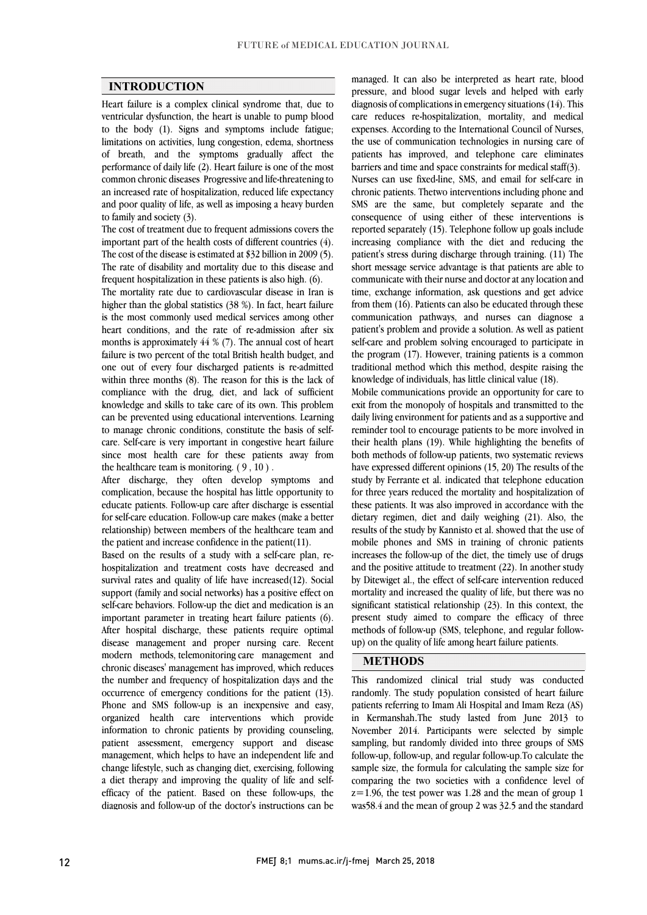## **INTRODUCTION**

 Heart failure is a complex clinical syndrome that, due to ventricular dysfunction, the heart is unable to pump blood to the body (1). Signs and symptoms include fatigue; of breath, and the symptoms gradually affect the performance of daily life (2). Heart failure is one of the most common chronic diseases Progressive and life-threatening to an increased rate of hospitalization, reduced life expectancy and poor quality of life, as well as imposing a heavy burden<br>to family and society  $(3)$ limitations on activities, lung congestion, edema, shortness to family and society (3).

 The cost of treatment due to frequent admissions covers the important part of the health costs of different countries (4). The cost of the disease is estimated at \$32 billion in 2009 (5). The rate of disability and mortality due to this disease and frequent hospitalization in these patients is also high  $(6)$ frequent hospitalization in these patients is also high. (6).

 The mortality rate due to cardiovascular disease in Iran is higher than the global statistics (38 %). In fact, heart failure is the most commonly used medical services among other<br>heart conditions, and the rate of re-admission after six months is approximately 44 % (7). The annual cost of heart failure is two percent of the total British health budget, and one out of every four discharged patients is re-admitted within three months  $(8)$ . The reason for this is the lack of exergence with the drug dist, and lack of exergence knowledge and skills to take care of its own. This problem can be prevented using educational interventions. Learning to manage chronic conditions, constitute the basis of self- since most health care for these patients away from is the most commonly used medical services among other compliance with the drug, diet, and lack of sufficient care. Self-care is very important in congestive heart failure the healthcare team is monitoring. ( 9 , 10 ) .

 After discharge, they often develop symptoms and complication, because the hospital has little opportunity to for self-care education. Follow-up care makes (make a better relationship) between members of the healthcare team and educate patients. Follow-up care after discharge is essential the patient and increase confidence in the patient(11).

 Based on the results of a study with a self-care plan, resurvival rates and quality of life have increased(12). Social support (family and social networks) has a positive effect on self-care behaviors. Follow-up the diet and medication is an important parameter in treating heart failure patients (6). disease management and proper nursing care. Recent modern methods, telemonitoring care management and chronic diseases' management has improved, which reduces the number and frequency of hospitalization days and the Phone and SMS follow-up is an inexpensive and easy, organized health care interventions which provide information to chronic patients by providing counseling, management, which helps to have an independent life and change lifestyle, such as changing diet, exercising, following a diet therapy and improving the quality of life and self- efficacy of the patient. Based on these follow-ups, the diagnosis and follow-up of the doctor's instructions can be hospitalization and treatment costs have decreased and After hospital discharge, these patients require optimal occurrence of emergency conditions for the patient (13). patient assessment, emergency support and disease

 pressure, and blood sugar levels and helped with early diagnosis of complications in emergency situations (14). This care reduces re-hospitalization, mortality, and medical expenses. According to the International Council of Nurses, patients has improved, and telephone care eliminates barriers and time and space constraints for medical staff(3). Nurses can use fixed-line, SMS, and email for self-care in chronic patients. Thetwo interventions including phone and consequence of using either of these interventions is reported separately (15). Telephone follow up goals include increasing compliance with the diet and reducing the patient's stress during discharge through training. (11) The communicate with their nurse and doctor at any location and time, exchange information, ask questions and get advice from them (16). Patients can also be educated through these patient's problem and provide a solution. As well as patient self-care and problem solving encouraged to participate in the program (17). However, training patients is a common traditional method which this method, despite raising the managed. It can also be interpreted as heart rate, blood the use of communication technologies in nursing care of SMS are the same, but completely separate and the short message service advantage is that patients are able to communication pathways, and nurses can diagnose a knowledge of individuals, has little clinical value (18).

 Mobile communications provide an opportunity for care to exit from the monopoly of hospitals and transmitted to the daily living environment for patients and as a supportive and reminder tool to encourage patients to be more involved in  $\Phi$  both methods of follow-up patients, two systematic reviews have expressed different opinions (15, 20) The results of the study by Ferrante et al. indicated that telephone education for three years reduced the mortality and hospitalization of dietary regimen, diet and daily weighing (21). Also, the results of the study by Kannisto et al. showed that the use of mobile phones and SMS in training of chronic patients mcreases the ionow-up of the thet, the timely use of the positive attitude to treatment (22). In another study by Ditewiget al., the effect of self-care intervention reduced mortality and increased the quality of life, but there was no significant statistical relationship (23). In this context, the present study anned to compare the emeasy of three methods of follow-up (SMS, telephone, and regular followtheir health plans (19). While highlighting the benefits of these patients. It was also improved in accordance with the increases the follow-up of the diet, the timely use of drugs present study aimed to compare the efficacy of three up) on the quality of life among heart failure patients.

## **METHODS**

 $\overline{a}$  randomly. The study population consisted of heart failure patients referring to Imam Ali Hospital and Imam Reza (AS) in Kermanshah.The study lasted from June 2013 to November 2014. Participants were selected by simple follow-up, follow-up, and regular follow-up.To calculate the sample size, the formula for calculating the sample size for comparing the two societies with a confidence level of  $z=1.96$ , the test power was 1.28 and the mean of group 1 was58.4 and the mean of group 2 was 32.5 and the standard This randomized clinical trial study was conducted sampling, but randomly divided into three groups of SMS

I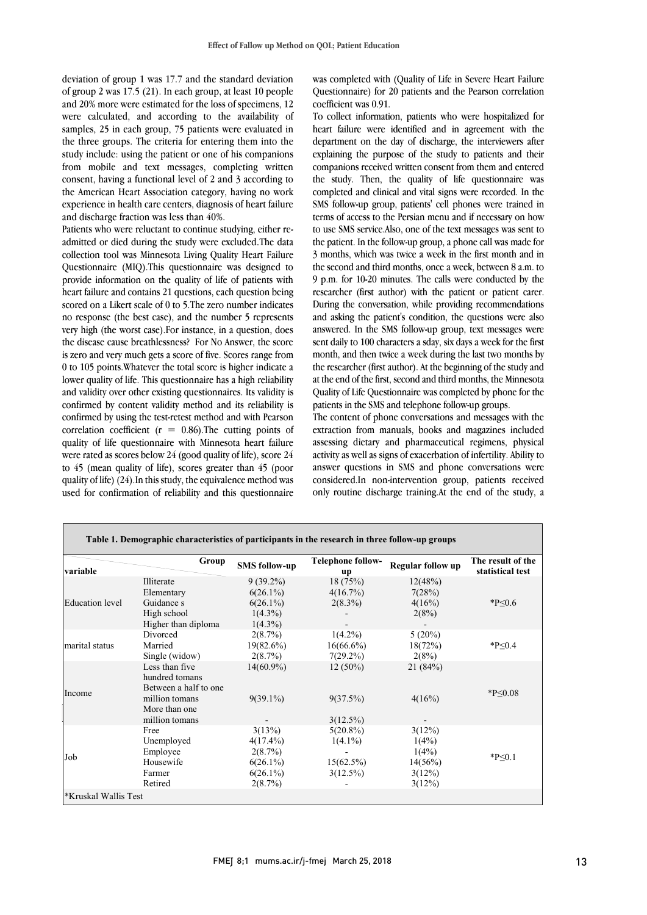of group 2 was 17.5 (21). In each group, at least 10 people and 20% more were estimated for the loss of specimens,  $\frac{1}{2}$  were calculated, and according to the availability of samples, 25 in each group, 75 patients were evaluated in study include: using the patient or one of his companions from mobile and text messages, completing written consent, having a functional level of 2 and 3 according to the American Heart Association category, having no work experience in health care centers, diagnosis of heart failure<br>and discharge fraction was less than  $\angle 0^\alpha$ deviation of group 1 was 17.7 and the standard deviation the three groups. The criteria for entering them into the and discharge fraction was less than 40%.

 Patients who were reluctant to continue studying, either re- admitted or died during the study were excluded.The data collection tool was Minnesota Living Quality Heart Failure provide information on the quality of life of patients with heart failure and contains 21 questions, each question being scored on a Likert scale of 0 to 5.The zero number indicates no response (the best case), and the number 5 represents<br>very high (the worst case).For instance, in a question, does the disease cause breathlessness? For No Answer, the score is zero and very much gets a score of five. Scores range from 0 to 105 points.Whatever the total score is higher indicate a lower quality of life. This questionnaire has a high reliability confirmed by content validity method and its reliability is confirmed by using the test-retest method and with Pearson correlation coefficient ( $r = 0.86$ ). The cutting points of were rated as scores below 24 (good quality of life), score 24 to 45 (mean quality of life), scores greater than 45 (poor quality of life)  $(24)$ . In this study, the equivalence method was used for confirmation of reliability and this questionnaire Questionnaire (MIQ).This questionnaire was designed to no response (the best case), and the number 5 represents and validity over other existing questionnaires. Its validity is quality of life questionnaire with Minnesota heart failure was completed with (Quality of the in severe rieart randic<br>Questionnaire) for 20 patients and the Pearson correlation was completed with (Quality of Life in Severe Heart Failure coefficient was 0.91.

 To collect information, patients who were hospitalized for heart failure were identified and in agreement with the companions received written consent from them and entered the study. Then, the quality of life questionnaire was completed and clinical and vital signs were recorded. In the terms of access to the Persian menu and if necessary on how to use SMS service.Also, one of the text messages was sent to the patient. In the follow-up group, a phone call was made for I months, which was twice a week in the first month and in<br>the second and third months, once a week, between 8 a.m. to 9 p.m. for 10-20 minutes. The calls were conducted by the researcher (first author) with the patient or patient carer. During the conversation, while providing recommendations and asking the patient's condition, the questions were also<br>answered. In the SMS follow-up group, text messages were sent daily to 100 characters a sday, six days a week for the first month, and then twice a week during the last two months by the researcher (first author). At the beginning of the study and Quality of Life Questionnaire was completed by phone for the department on the day of discharge, the interviewers after explaining the purpose of the study to patients and their SMS follow-up group, patients' cell phones were trained in 3 months, which was twice a week in the first month and in and asking the patient's condition, the questions were also at the end of the first, second and third months, the Minnesota patients in the SMS and telephone follow-up groups.

 The content of phone conversations and messages with the extraction from manuals, books and magazines included assessing them, and pharmaceutical regineris, physical activity as well as signs of exacerbation of infertility. Ability to answer questions in SMS and phone conversations were considered.In non-intervention group, patients received only routine discharge training.At the end of the study, a assessing dietary and pharmaceutical regimens, physical

| variable               | Group                                                     | <b>SMS</b> follow-up                                           | <b>Telephone follow-</b><br>up                           | Regular follow up                                   | The result of the<br>statistical test |
|------------------------|-----------------------------------------------------------|----------------------------------------------------------------|----------------------------------------------------------|-----------------------------------------------------|---------------------------------------|
|                        | Illiterate                                                | $9(39.2\%)$                                                    | 18(75%)                                                  | 12(48%)                                             |                                       |
|                        | Elementary                                                | $6(26.1\%)$                                                    | 4(16.7%)                                                 | 7(28%)                                              |                                       |
| <b>Education</b> level | Guidance s                                                | $6(26.1\%)$                                                    | $2(8.3\%)$                                               | 4(16%)                                              | $*P<0.6$                              |
|                        | High school                                               | $1(4.3\%)$                                                     |                                                          | 2(8%)                                               |                                       |
|                        | Higher than diploma                                       | $1(4.3\%)$                                                     |                                                          |                                                     |                                       |
| marital status         | Divorced                                                  | 2(8.7%)                                                        | $1(4.2\%)$                                               | $5(20\%)$                                           |                                       |
|                        | Married                                                   | $19(82.6\%)$                                                   | $16(66.6\%)$                                             | 18(72%)                                             | $*P<0.4$                              |
|                        | Single (widow)                                            | 2(8.7%)                                                        | $7(29.2\%)$                                              | 2(8%)                                               |                                       |
| Income                 | Less than five<br>hundred tomans<br>Between a half to one | $14(60.9\%)$                                                   | $12(50\%)$                                               | 21 (84%)                                            |                                       |
|                        | million tomans<br>More than one<br>million tomans         | $9(39.1\%)$                                                    | 9(37.5%)                                                 | 4(16%)                                              | $*P<0.08$                             |
|                        | Free                                                      |                                                                | $3(12.5\%)$                                              |                                                     |                                       |
| Job                    | Unemployed<br>Employee<br>Housewife<br>Farmer             | 3(13%)<br>$4(17.4\%)$<br>2(8.7%)<br>$6(26.1\%)$<br>$6(26.1\%)$ | $5(20.8\%)$<br>$1(4.1\%)$<br>$15(62.5\%)$<br>$3(12.5\%)$ | 3(12%)<br>1(4%)<br>$1(4\%)$<br>$14(56\%)$<br>3(12%) | $*P≤0.1$                              |
|                        | Retired                                                   | 2(8.7%)                                                        |                                                          | 3(12%)                                              |                                       |
| *Kruskal Wallis Test   |                                                           |                                                                |                                                          |                                                     |                                       |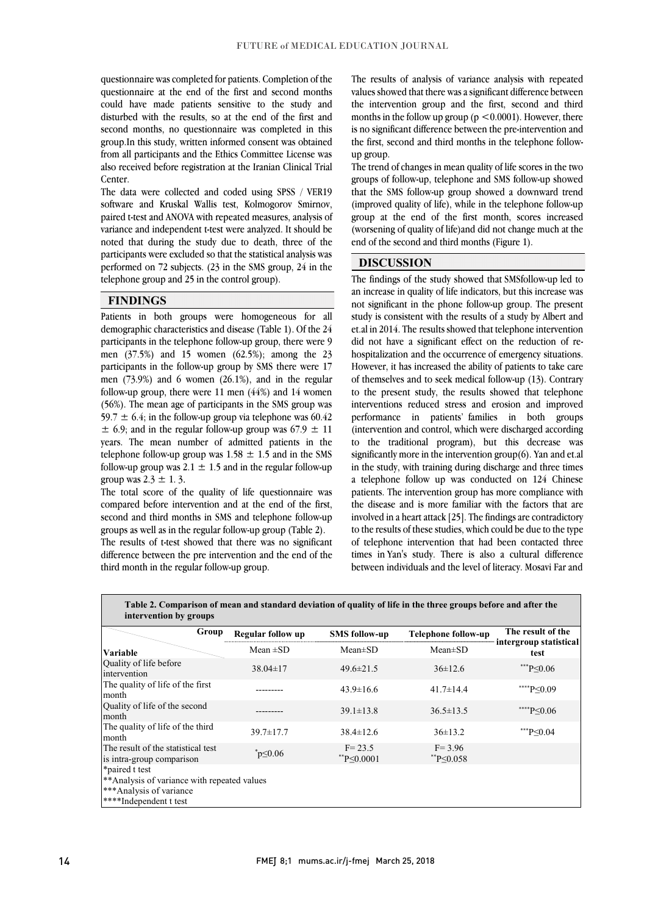questionnaire at the end of the first and second months could have made patients sensitive to the study and disturbed with the results, so at the end of the first and disturbed with the results, so at the end of the first and<br>second months, no questionnaire was completed in this from all participants and the Ethics Committee License was also received before registration at the Iranian Clinical Trial questionnaire was completed for patients. Completion of the group.In this study, written informed consent was obtained Center.

 The data were collected and coded using SPSS / VER19 paired t-test and ANOVA with repeated measures, analysis of variance and independent t-test were analyzed. It should be noted that during the study due to death, three of the participants were excluded so that the statistical analysis was performed on 72 subjects. (23 in the SMS group, 24 in the release of 25 in the control group.  $\overline{a}$ software and Kruskal Wallis test, Kolmogorov Smirnov, telephone group and 25 in the control group).

#### **FINDINGS**

l demographic characteristics and disease (Table 1). Of the 24 participants in the telephone follow-up group, there were 9 men  $(37.5%)$  and 15 women  $(62.5%)$ ; among the 23 men (37.5%) and 15 women (62.5%); among the 23<br>participants in the follow-up group by SMS there were 17 follow-up group, there were 11 men  $(44%)$  and 14 women follow-up group, there were 11 men  $(44%)$  and 14 women (56%). The mean age of participants in the SMS group was 59.7  $\pm$  6.4; in the follow-up group via telephone was 60.42<br> $\pm$  6.9; and in the regular follow-up group was 67.9  $\pm$  11  $\pm$  6.9; and in the regular follow-up group was 67.9  $\pm$  11 telephone follow-up group was  $1.58 \pm 1.5$  and in the SMS follow-up group was  $2.1 \pm 1.5$  and in the regular follow-up Patients in both groups were homogeneous for all men (73.9%) and 6 women (26.1%), and in the regular years. The mean number of admitted patients in the group was  $2.3 \pm 1.3$ .

 The total score of the quality of life questionnaire was second and third months in SMS and telephone follow-up Î compared before intervention and at the end of the first, groups as well as in the regular follow-up group (Table 2).

 The results of t-test showed that there was no significant difference between the pre intervention and the end of the third month in the regular follow-up group.

 values showed that there was a significant difference between the intervention group and the first, second and third months in the follow up group ( $p < 0.0001$ ). However, there is no significant difference between the pre-intervention and the first, second and third months in the telephone follow-The results of analysis of variance analysis with repeated up group.

 The trend of changes in mean quality of life scores in the two groups of follow-up, telephone and SMS follow-up showed that the SMS follow-up group showed a downward trend group at the end of the first month, scores increased (worsening of quality of life)and did not change much at the (improved quality of life), while in the telephone follow-up end of the second and third months (Figure 1).

Ξ

 $\overline{a}$ 

## **DISCUSSION**

 The findings of the study showed that SMSfollow-up led to an increase in quality of life indicators, but this increase was not significant in the phone follow-up group. The present study is consistent with the results of a study by Albert and et.al in 2014. The results showed that telephone intervention did not have a significant effect on the reduction of re- hospitalization and the occurrence of emergency situations. However, it has increased the ability of patients to take care of the present study, the results showed that telephone interventions reduced stress and erosion and improved performance in patients' families in both groups (intervention and control, which were discharged according significantly more in the intervention group(6). Yan and et.al in the study, with training during discharge and three times a telephone follow up was conducted on 124 Chinese patients. The intervention group has more compliance with involved in a heart attack [25]. The findings are contradictory to the results of these studies, which could be due to the type of telephone intervention that had been contacted three times in Yan's study. There is also a cultural difference between individuals and the level of literacy. Mosavi Far and study is consistent with the results of a study by Albert and of themselves and to seek medical follow-up (13). Contrary to the traditional program), but this decrease was the disease and is more familiar with the factors that are

| Group                                                           | <b>Regular follow up</b> | <b>SMS</b> follow-up          | <b>Telephone follow-up</b> | The result of the              |
|-----------------------------------------------------------------|--------------------------|-------------------------------|----------------------------|--------------------------------|
| Variable                                                        | Mean $\pm$ SD            | $Mean \pm SD$                 | $Mean \pm SD$              | intergroup statistical<br>test |
| Quality of life before<br>intervention                          | $38.04 \pm 17$           | $49.6 \pm 21.5$               | $36\pm12.6$                | ***P<0.06                      |
| The quality of life of the first<br>month                       |                          | $43.9 \pm 16.6$               | $41.7 \pm 14.4$            | ****P<0.09                     |
| Quality of life of the second<br>month                          |                          | $39.1 \pm 13.8$               | $36.5 \pm 13.5$            | ****P $\leq 0.06$              |
| The quality of life of the third<br>month                       | $39.7 \pm 17.7$          | $38.4 \pm 12.6$               | $36\pm13.2$                | *** $P \le 0.04$               |
| The result of the statistical test<br>is intra-group comparison | $p \leq 0.06$            | $F = 23.5$<br>$*$ $P< 0.0001$ | $F = 3.96$<br>$*$ P<0.058  |                                |
| *paired t test                                                  |                          |                               |                            |                                |
| **Analysis of variance with repeated values                     |                          |                               |                            |                                |
| *** Analysis of variance                                        |                          |                               |                            |                                |
| ****Independent t test                                          |                          |                               |                            |                                |

L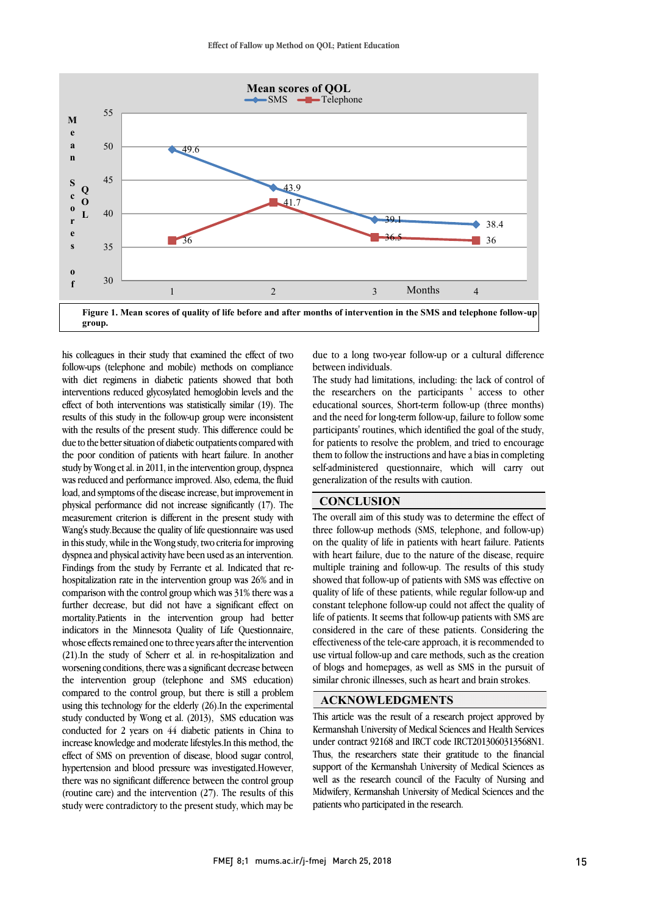

his colleagues in their study that examined the effect of two follow-ups (telephone and mobile) methods on compliance with diet regimens in diabetic patients showed that both interventions reduced glycosylated hemoglobin levels and the effect of both interventions was statistically similar (19). The results of this study in the follow-up group were inconsistent with the results of the present study. This difference could be due to the better situation of diabetic outpatients compared with the poor condition of patients with heart failure. In another study by Wong et al. in 2011, in the intervention group, dyspnea was reduced and performance improved. Also, edema, the fluid load, and symptoms of the disease increase, but improvement in physical performance did not increase significantly (17). The measurement criterion is different in the present study with Wang's study.Because the quality of life questionnaire was used in this study, while in the Wong study, two criteria for improving dyspneaand physical activity have been used as an intervention. Findings from the study by Ferrante et al. Indicated that rehospitalization rate in the intervention group was 26% and in comparison with the control group which was 31% there was a further decrease, but did not have a significant effect on mortality.Patients in the intervention group had better indicators in the Minnesota Quality of Life Questionnaire, whose effects remained one to three years after the intervention (21).In the study of Scherr et al. in re-hospitalization and worsening conditions, there was a significant decrease between the intervention group (telephone and SMS education) compared to the control group, but there is still a problem using this technology for the elderly (26).In the experimental study conducted by Wong et al. (2013), SMS education was conducted for 2 years on 44 diabetic patients in China to increase knowledge and moderate lifestyles.In this method, the effect of SMS on prevention of disease, blood sugar control, hypertension and blood pressure was investigated.However, there was no significant difference between the control group (routine care) and the intervention (27). The results of this study were contradictory to the present study, which may be

due to a long two-year follow-up or a cultural difference between individuals.

The study had limitations, including: the lack of control of the researchers on the participants ' access to other educational sources, Short-term follow-up (three months) and the need for long-term follow-up, failure to follow some participants' routines, which identified the goal of the study, for patients to resolve the problem, and tried to encourage them to follow the instructionsand have a bias in completing self-administered questionnaire, which will carry out generalization of the results with caution.

#### **CONCLUSION**

The overall aim of this study was to determine the effect of three follow-up methods (SMS, telephone, and follow-up) on the quality of life in patients with heart failure. Patients with heart failure, due to the nature of the disease, require multiple training and follow-up. The results of this study showed that follow-up of patients with SMS was effective on quality of life of these patients, while regular follow-up and constant telephone follow-up could not affect the quality of life of patients. It seems that follow-up patients with SMS are considered in the care of these patients. Considering the effectiveness of the tele-care approach, it is recommended to use virtual follow-up and care methods, such as the creation of blogs and homepages, as well as SMS in the pursuit of similar chronic illnesses, such as heart and brain strokes.

#### **ACKNOWLEDGMENTS**

This article was the result of a research project approved by Kermanshah University of Medical Sciences and Health Services under contract 92168 and IRCT code IRCT2013060313568N1. Thus, the researchers state their gratitude to the financial support of the Kermanshah University of Medical Sciences as well as the research council of the Faculty of Nursing and Midwifery, Kermanshah University of Medical Sciences and the patients who participated in the research.